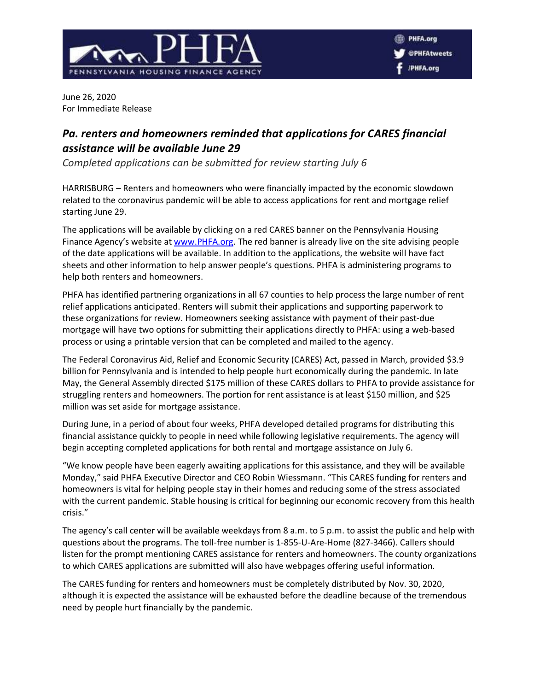

June 26, 2020 For Immediate Release

## *Pa. renters and homeowners reminded that applications for CARES financial assistance will be available June 29*

*Completed applications can be submitted for review starting July 6*

HARRISBURG – Renters and homeowners who were financially impacted by the economic slowdown related to the coronavirus pandemic will be able to access applications for rent and mortgage relief starting June 29.

The applications will be available by clicking on a red CARES banner on the Pennsylvania Housing Finance Agency's website a[t www.PHFA.org.](http://www.phfa.org/) The red banner is already live on the site advising people of the date applications will be available. In addition to the applications, the website will have fact sheets and other information to help answer people's questions. PHFA is administering programs to help both renters and homeowners.

PHFA has identified partnering organizations in all 67 counties to help process the large number of rent relief applications anticipated. Renters will submit their applications and supporting paperwork to these organizations for review. Homeowners seeking assistance with payment of their past-due mortgage will have two options for submitting their applications directly to PHFA: using a web-based process or using a printable version that can be completed and mailed to the agency.

The Federal Coronavirus Aid, Relief and Economic Security (CARES) Act, passed in March, provided \$3.9 billion for Pennsylvania and is intended to help people hurt economically during the pandemic. In late May, the General Assembly directed \$175 million of these CARES dollars to PHFA to provide assistance for struggling renters and homeowners. The portion for rent assistance is at least \$150 million, and \$25 million was set aside for mortgage assistance.

During June, in a period of about four weeks, PHFA developed detailed programs for distributing this financial assistance quickly to people in need while following legislative requirements. The agency will begin accepting completed applications for both rental and mortgage assistance on July 6.

"We know people have been eagerly awaiting applications for this assistance, and they will be available Monday," said PHFA Executive Director and CEO Robin Wiessmann. "This CARES funding for renters and homeowners is vital for helping people stay in their homes and reducing some of the stress associated with the current pandemic. Stable housing is critical for beginning our economic recovery from this health crisis."

The agency's call center will be available weekdays from 8 a.m. to 5 p.m. to assist the public and help with questions about the programs. The toll-free number is 1-855-U-Are-Home (827-3466). Callers should listen for the prompt mentioning CARES assistance for renters and homeowners. The county organizations to which CARES applications are submitted will also have webpages offering useful information.

The CARES funding for renters and homeowners must be completely distributed by Nov. 30, 2020, although it is expected the assistance will be exhausted before the deadline because of the tremendous need by people hurt financially by the pandemic.